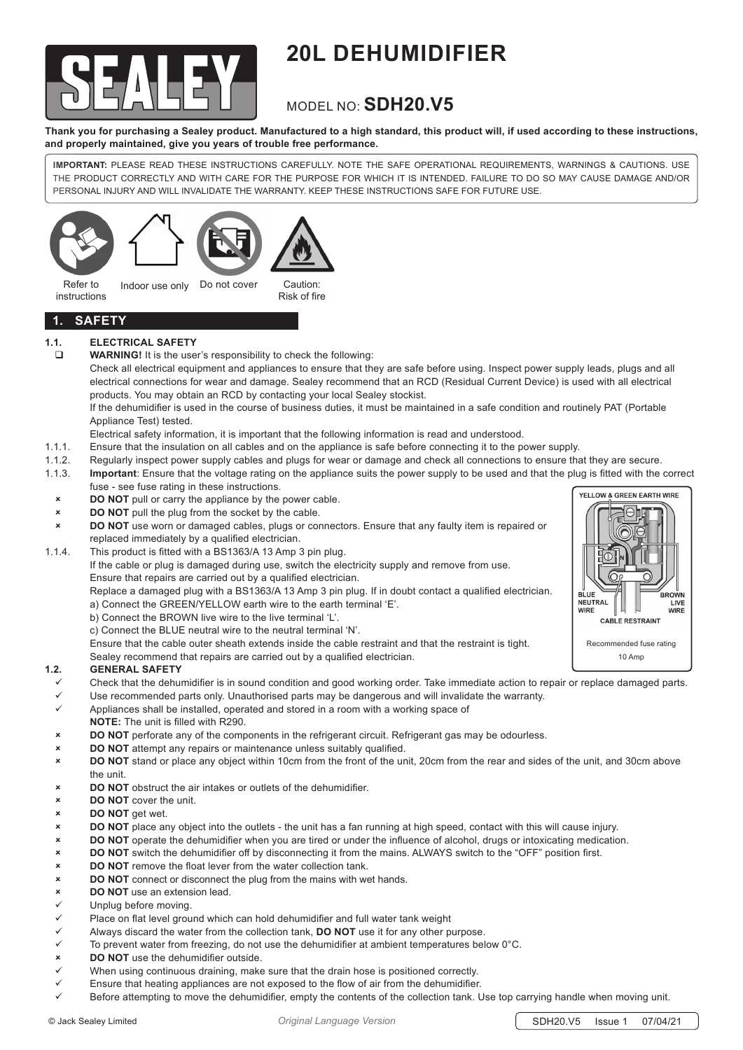

# **20L DEHUMIDIFIER**

# MODEL NO: **SDH20.V5**

**Thank you for purchasing a Sealey product. Manufactured to a high standard, this product will, if used according to these instructions, and properly maintained, give you years of trouble free performance.**

**IMPORTANT:** PLEASE READ THESE INSTRUCTIONS CAREFULLY. NOTE THE SAFE OPERATIONAL REQUIREMENTS, WARNINGS & CAUTIONS. USE THE PRODUCT CORRECTLY AND WITH CARE FOR THE PURPOSE FOR WHICH IT IS INTENDED. FAILURE TO DO SO MAY CAUSE DAMAGE AND/OR PERSONAL INJURY AND WILL INVALIDATE THE WARRANTY. KEEP THESE INSTRUCTIONS SAFE FOR FUTURE USE.



instructions



**1. SAFETY**

# **1.1. ELECTRICAL SAFETY**

**WARNING!** It is the user's responsibility to check the following:

Check all electrical equipment and appliances to ensure that they are safe before using. Inspect power supply leads, plugs and all electrical connections for wear and damage. Sealey recommend that an RCD (Residual Current Device) is used with all electrical products. You may obtain an RCD by contacting your local Sealey stockist.

 If the dehumidifier is used in the course of business duties, it must be maintained in a safe condition and routinely PAT (Portable Appliance Test) tested.

- Electrical safety information, it is important that the following information is read and understood.
- 1.1.1. Ensure that the insulation on all cables and on the appliance is safe before connecting it to the power supply.
- 1.1.2. Regularly inspect power supply cables and plugs for wear or damage and check all connections to ensure that they are secure.
- 1.1.3. **Important**: Ensure that the voltage rating on the appliance suits the power supply to be used and that the plug is fitted with the correct fuse - see fuse rating in these instructions.
	- **EXECUTE: DO NOT** pull or carry the appliance by the power cable.
- 8 **DO NOT** pull the plug from the socket by the cable.
- **DO NOT** use worn or damaged cables, plugs or connectors. Ensure that any faulty item is repaired or replaced immediately by a qualified electrician.
- 1.1.4. This product is fitted with a BS1363/A 13 Amp 3 pin plug. If the cable or plug is damaged during use, switch the electricity supply and remove from use. Ensure that repairs are carried out by a qualified electrician.
	- Replace a damaged plug with a BS1363/A 13 Amp 3 pin plug. If in doubt contact a qualified electrician. a) Connect the GREEN/YELLOW earth wire to the earth terminal 'E'.
	- b) Connect the BROWN live wire to the live terminal 'L'.
	- c) Connect the BLUE neutral wire to the neutral terminal 'N'.

Ensure that the cable outer sheath extends inside the cable restraint and that the restraint is tight.

 Sealey recommend that repairs are carried out by a qualified electrician.

# **1.2. GENERAL SAFETY**

- Check that the dehumidifier is in sound condition and good working order. Take immediate action to repair or replace damaged parts.
- Use recommended parts only. Unauthorised parts may be dangerous and will invalidate the warranty.
- $\checkmark$  Appliances shall be installed, operated and stored in a room with a working space of
- **NOTE:** The unit is filled with R290.
- **DO NOT** perforate any of the components in the refrigerant circuit. Refrigerant gas may be odourless.
- 8 **DO NOT** attempt any repairs or maintenance unless suitably qualified.
- **8 BO NOT** stand or place any object within 10cm from the front of the unit, 20cm from the rear and sides of the unit, and 30cm above the unit.
- 8 **DO NOT** obstruct the air intakes or outlets of the dehumidifier.
- 8 **DO NOT** cover the unit.
- **x DO NOT** get wet.<br>**8 DO NOT** place and
- **DO NOT** place any object into the outlets the unit has a fan running at high speed, contact with this will cause injury.
- 8 **DO NOT** operate the dehumidifier when you are tired or under the influence of alcohol, drugs or intoxicating medication.
- **BO NOT** switch the dehumidifier off by disconnecting it from the mains. ALWAYS switch to the "OFF" position first.<br>**BO NOT** remove the float lever from the water collection tank
- **8 <b>DO NOT** remove the float lever from the water collection tank.<br>**8 BO NOT** connect or disconnect the plug from the mains with we
- **BO NOT** connect or disconnect the plug from the mains with wet hands.<br> **DO NOT** use an extension lead.
- **8 <b>DO NOT** use an extension lead.
- Unplug before moving.
- $\checkmark$  Place on flat level ground which can hold dehumidifier and full water tank weight
- $\checkmark$  Always discard the water from the collection tank. **DO NOT** use it for any other purpose.
- $\checkmark$  To prevent water from freezing, do not use the dehumidifier at ambient temperatures below 0°C.
- 8 **DO NOT** use the dehumidifier outside.
- When using continuous draining, make sure that the drain hose is positioned correctly.
- Ensure that heating appliances are not exposed to the flow of air from the dehumidifier.
- Before attempting to move the dehumidifier, empty the contents of the collection tank. Use top carrying handle when moving unit.

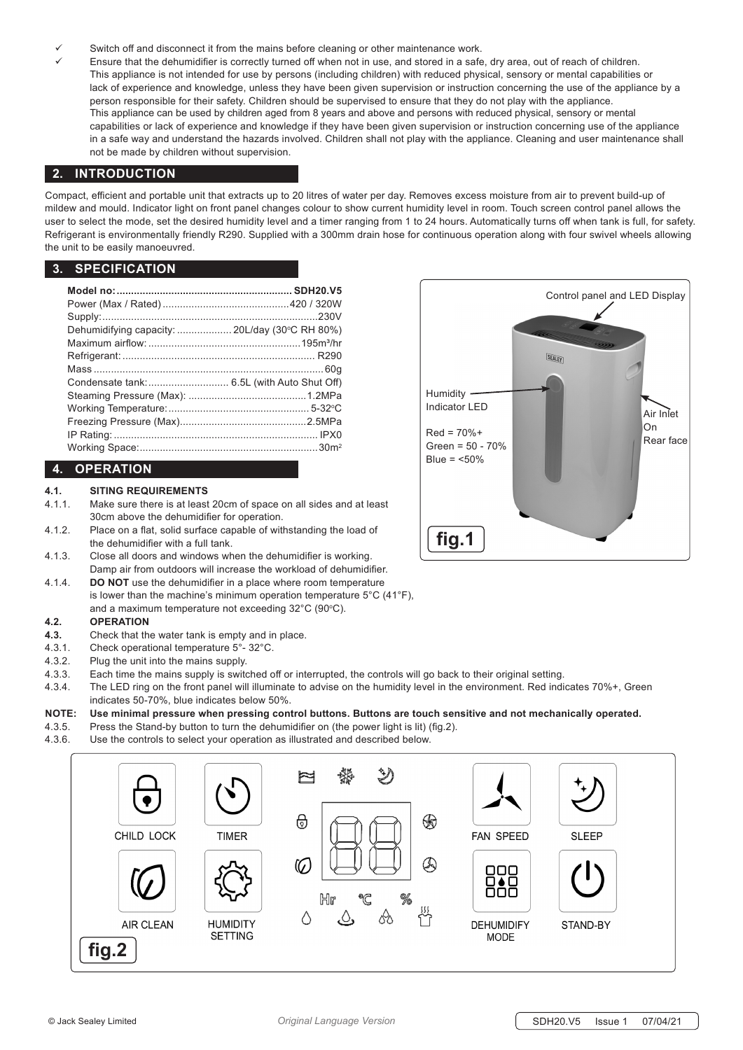- Switch off and disconnect it from the mains before cleaning or other maintenance work.
	- Ensure that the dehumidifier is correctly turned off when not in use, and stored in a safe, dry area, out of reach of children. This appliance is not intended for use by persons (including children) with reduced physical, sensory or mental capabilities or lack of experience and knowledge, unless they have been given supervision or instruction concerning the use of the appliance by a person responsible for their safety. Children should be supervised to ensure that they do not play with the appliance. This appliance can be used by children aged from 8 years and above and persons with reduced physical, sensory or mental capabilities or lack of experience and knowledge if they have been given supervision or instruction concerning use of the appliance in a safe way and understand the hazards involved. Children shall not play with the appliance. Cleaning and user maintenance shall not be made by children without supervision.

# **2. INTRODUCTION**

Compact, efficient and portable unit that extracts up to 20 litres of water per day. Removes excess moisture from air to prevent build-up of mildew and mould. Indicator light on front panel changes colour to show current humidity level in room. Touch screen control panel allows the user to select the mode, set the desired humidity level and a timer ranging from 1 to 24 hours. Automatically turns off when tank is full, for safety. Refrigerant is environmentally friendly R290. Supplied with a 300mm drain hose for continuous operation along with four swivel wheels allowing the unit to be easily manoeuvred.

# **3. SPECIFICATION**

| Dehumidifying capacity:  20L/day (30°C RH 80%) |  |
|------------------------------------------------|--|
|                                                |  |
|                                                |  |
|                                                |  |
|                                                |  |
|                                                |  |
|                                                |  |
|                                                |  |
|                                                |  |
|                                                |  |

# **4. OPERATION**

# **4.1. SITING REQUIREMENTS**

- 4.1.1. Make sure there is at least 20cm of space on all sides and at least 30cm above the dehumidifier for operation.
- 4.1.2. Place on a flat, solid surface capable of withstanding the load of the dehumidifier with a full tank.
- 4.1.3. Close all doors and windows when the dehumidifier is working. Damp air from outdoors will increase the workload of dehumidifier.
- 4.1.4. **DO NOT** use the dehumidifier in a place where room temperature is lower than the machine's minimum operation temperature 5°C (41°F), and a maximum temperature not exceeding 32°C (90°C).

# **4.2. OPERATION**

- **4.3.** Check that the water tank is empty and in place.
- 4.3.1. Check operational temperature 5°- 32°C.
- 4.3.2. Plug the unit into the mains supply.
- 4.3.3. Each time the mains supply is switched off or interrupted, the controls will go back to their original setting.
- 4.3.4. The LED ring on the front panel will illuminate to advise on the humidity level in the environment. Red indicates 70%+, Green indicates 50-70%, blue indicates below 50%.

# **NOTE: Use minimal pressure when pressing control buttons. Buttons are touch sensitive and not mechanically operated.**

- 4.3.5. Press the Stand-by button to turn the dehumidifier on (the power light is lit) (fig.2).
- 4.3.6. Use the controls to select your operation as illustrated and described below.



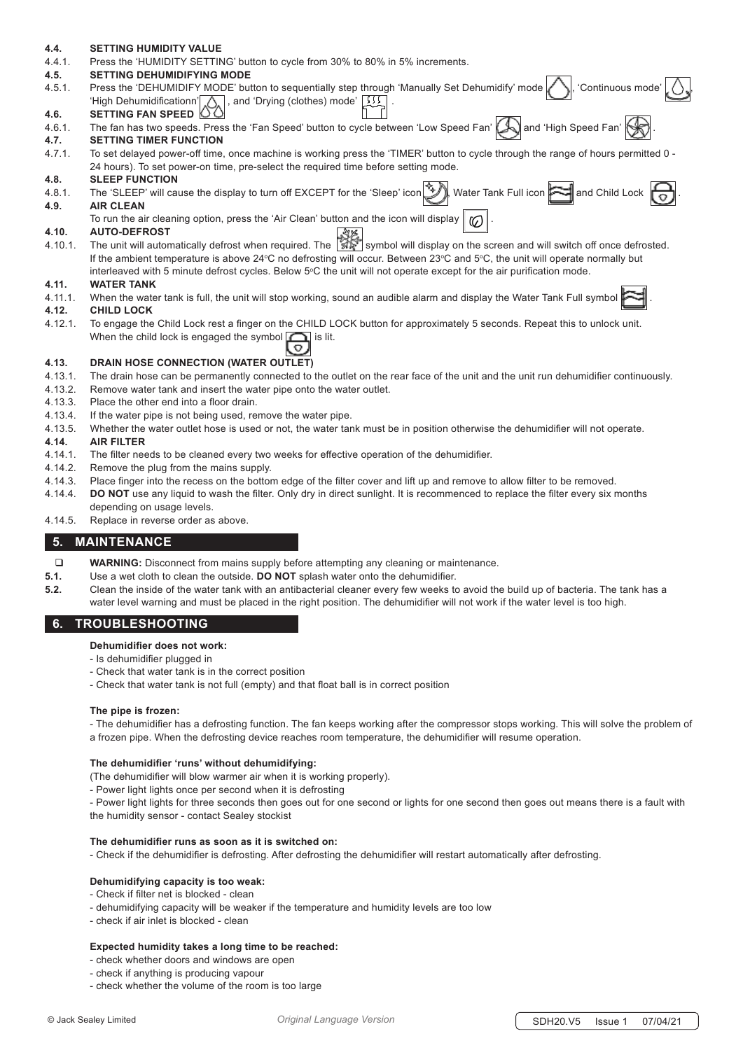# **4.4. SETTING HUMIDITY VALUE**

4.4.1. Press the 'HUMIDITY SETTING' button to cycle from 30% to 80% in 5% increments.

#### **4.5. SETTING DEHUMIDIFYING MODE**

- 4.5.1. Press the 'DEHUMIDIFY MODE' button to sequentially step through 'Manually Set Dehumidify' mode | Superinuous mode' , and 'Drying (clothes) mode'  $\frac{1}{\sqrt{2}}$ **4.6. SETTING FAN SPEED**
- 
- 4.6.1. The fan has two speeds. Press the 'Fan Speed' button to cycle between 'Low Speed Fan'  $\Box$  and 'High Speed Fan'  $\parallel$ **4.7. SETTING TIMER FUNCTION**
- 4.7.1. To set delayed power-off time, once machine is working press the 'TIMER' button to cycle through the range of hours permitted 0 24 hours). To set power-on time, pre-select the required time before setting mode.

#### **4.8. SLEEP FUNCTION**

- 4.8.1. The 'SLEEP' will cause the display to turn off EXCEPT for the 'Sleep' icon  $\mathbb{R}$ , Water Tank Full icon  $\mathbb{R}$  and Child Lock  $\mathbb{R}$ **4.9. AIR CLEAN**
	- To run the air cleaning option, press the 'Air Clean' button and the icon will display  $\| \mathcal{O} \$

# **4.10. AUTO-DEFROST**

1.10.1. The unit will automatically defrost when required. The  $\mathbb{Z}$  symbol will display on the screen and will switch off once defrosted. If the ambient temperature is above 24°C no defrosting will occur. Between 23°C and 5°C, the unit will operate normally but interleaved with 5 minute defrost cycles. Below 5°C the unit will not operate except for the air purification mode.

#### **4.11. WATER TANK**

4.11.1. When the water tank is full, the unit will stop working, sound an audible alarm and display the Water Tank Full symbol .

#### **4.12. CHILD LOCK**

4.12.1. To engage the Child Lock rest a finger on the CHILD LOCK button for approximately 5 seconds. Repeat this to unlock unit. When the child lock is engaged the symbol  $\bigcap$  is lit.

# **4.13. DRAIN HOSE CONNECTION (WATER OUTLET)**

- 4.13.1. The drain hose can be permanently connected to the outlet on the rear face of the unit and the unit run dehumidifier continuously.
- 4.13.2. Remove water tank and insert the water pipe onto the water outlet.
- 4.13.3. Place the other end into a floor drain.
- 4.13.4. If the water pipe is not being used, remove the water pipe.
- 4.13.5. Whether the water outlet hose is used or not, the water tank must be in position otherwise the dehumidifier will not operate.

#### **4.14. AIR FILTER**

- 4.14.1. The filter needs to be cleaned every two weeks for effective operation of the dehumidifier.
- 4.14.2. Remove the plug from the mains supply.
- 4.14.3. Place finger into the recess on the bottom edge of the filter cover and lift up and remove to allow filter to be removed.
- 4.14.4. **DO NOT** use any liquid to wash the filter. Only dry in direct sunlight. It is recommenced to replace the filter every six months
- depending on usage levels.
- 4.14.5. Replace in reverse order as above.

# **5. MAINTENANCE**

- **WARNING:** Disconnect from mains supply before attempting any cleaning or maintenance.
- **5.1.** Use a wet cloth to clean the outside. **DO NOT** splash water onto the dehumidifier.
- **5.2.** Clean the inside of the water tank with an antibacterial cleaner every few weeks to avoid the build up of bacteria. The tank has a water level warning and must be placed in the right position. The dehumidifier will not work if the water level is too high.

# **6. TROUBLESHOOTING**

# **Dehumidifier does not work:**

- Is dehumidifier plugged in
- Check that water tank is in the correct position
- Check that water tank is not full (empty) and that float ball is in correct position

# **The pipe is frozen:**

 - The dehumidifier has a defrosting function. The fan keeps working after the compressor stops working. This will solve the problem of a frozen pipe. When the defrosting device reaches room temperature, the dehumidifier will resume operation.

# **The dehumidifier 'runs' without dehumidifying:**

- (The dehumidifier will blow warmer air when it is working properly).
- Power light lights once per second when it is defrosting
- Power light lights for three seconds then goes out for one second or lights for one second then goes out means there is a fault with the humidity sensor - contact Sealey stockist

# **The dehumidifier runs as soon as it is switched on:**

- Check if the dehumidifier is defrosting. After defrosting the dehumidifier will restart automatically after defrosting.

# **Dehumidifying capacity is too weak:**

- Check if filter net is blocked clean
- dehumidifying capacity will be weaker if the temperature and humidity levels are too low
- check if air inlet is blocked clean

# **Expected humidity takes a long time to be reached:**

- check whether doors and windows are open
- check if anything is producing vapour
- check whether the volume of the room is too large